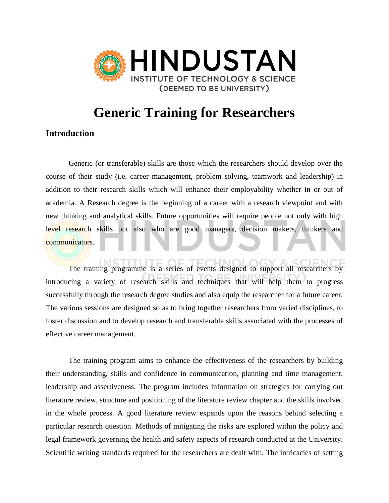

# **Generic Training for Researchers**

### **Introduction**

Generic (or transferable) skills are those which the researchers should develop over the course of their study (i.e. career management, problem solving, teamwork and leadership) in addition to their research skills which will enhance their employability whether in or out of academia. A Research degree is the beginning of a career with a research viewpoint and with new thinking and analytical skills. Future opportunities will require people not only with high level research skills but also who are good managers, decision makers, thinkers and communicators.

The training programme is a series of events designed to support all researchers by introducing a variety of research skills and techniques that will help them to progress successfully through the research degree studies and also equip the researcher for a future career. The various sessions are designed so as to bring together researchers from varied disciplines, to foster discussion and to develop research and transferable skills associated with the processes of effective career management.

The training program aims to enhance the effectiveness of the researchers by building their understanding, skills and confidence in communication, planning and time management, leadership and assertiveness. The program includes information on strategies for carrying out literature review, structure and positioning of the literature review chapter and the skills involved in the whole process. A good literature review expands upon the reasons behind selecting a particular research question. Methods of mitigating the risks are explored within the policy and legal framework governing the health and safety aspects of research conducted at the University. Scientific writing standards required for the researchers are dealt with. The intricacies of setting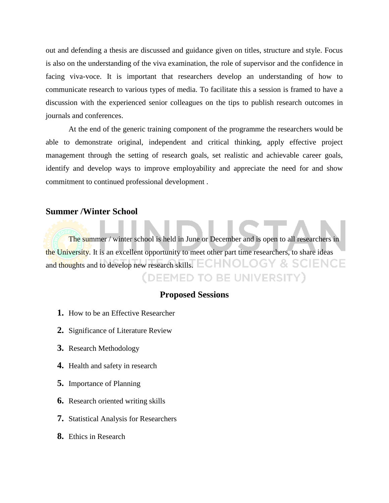out and defending a thesis are discussed and guidance given on titles, structure and style. Focus is also on the understanding of the viva examination, the role of supervisor and the confidence in facing viva-voce. It is important that researchers develop an understanding of how to communicate research to various types of media. To facilitate this a session is framed to have a discussion with the experienced senior colleagues on the tips to publish research outcomes in journals and conferences.

At the end of the generic training component of the programme the researchers would be able to demonstrate original, independent and critical thinking, apply effective project management through the setting of research goals, set realistic and achievable career goals, identify and develop ways to improve employability and appreciate the need for and show commitment to continued professional development .

#### **Summer /Winter School**

The summer / winter school is held in June or December and is open to all researchers in the University. It is an excellent opportunity to meet other part time researchers, to share ideas and thoughts and to develop new research skills. ECHNOLOGY & SCIENCE (DEEMED TO BE UNIVERSITY)

## **Proposed Sessions**

- **1.** How to be an Effective Researcher
- **2.** Significance of Literature Review
- **3.** Research Methodology
- **4.** Health and safety in research
- **5.** Importance of Planning
- **6.** Research oriented writing skills
- **7.** Statistical Analysis for Researchers
- **8.** Ethics in Research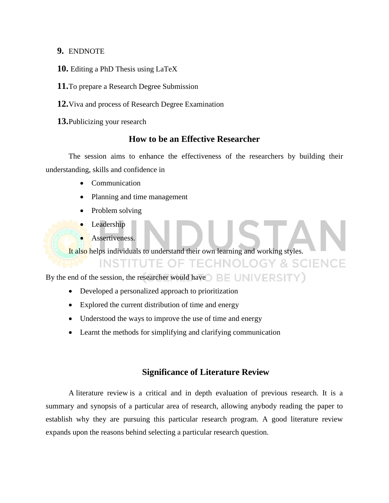#### **9.** ENDNOTE

- **10.** Editing a PhD Thesis using LaTeX
- **11.**To prepare a Research Degree Submission
- **12.**Viva and process of Research Degree Examination
- **13.**Publicizing your research

### **How to be an Effective Researcher**

The session aims to enhance the effectiveness of the researchers by building their understanding, skills and confidence in

- Communication
- Planning and time management
- Problem solving
- Leadership
- Assertiveness.

It also helps individuals to understand their own learning and working styles.

**INSTITUTE OF TECHNOLOGY & SCIENCE** 

By the end of the session, the researcher would have  $\bigcirc$  BE UNIVERSITY)

- Developed a personalized approach to prioritization
- Explored the current distribution of time and energy
- Understood the ways to improve the use of time and energy
- Learnt the methods for simplifying and clarifying communication

### **Significance of Literature Review**

A [literature review](http://www.writing.utoronto.ca/advice/specific-types-of-writing/literature-review) is a critical and in depth evaluation of previous research. It is a summary and synopsis of a particular area of research, allowing anybody reading the paper to establish why they are pursuing this particular research program. A good literature review expands upon the reasons behind selecting a particular research question.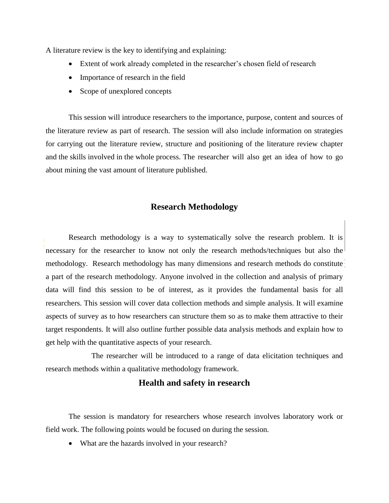A literature review is the key to identifying and explaining:

- Extent of work already completed in the researcher's chosen field of research
- Importance of research in the field
- Scope of unexplored concepts

This session will introduce researchers to the importance, purpose, content and sources of the literature review as part of research. The session will also include information on strategies for carrying out the literature review, structure and positioning of the literature review chapter and the skills involved in the whole process. The researcher will also get an idea of how to go about mining the vast amount of literature published.

#### **Research Methodology**

Research methodology is a way to systematically solve the research problem. It is necessary for the researcher to know not only the research methods/techniques but also the methodology. Research methodology has many dimensions and research methods do constitute a part of the research methodology. Anyone involved in the collection and analysis of primary data will find this session to be of interest, as it provides the fundamental basis for all researchers. This session will cover data collection methods and simple analysis. It will examine aspects of survey as to how researchers can structure them so as to make them attractive to their target respondents. It will also outline further possible data analysis methods and explain how to get help with the quantitative aspects of your research.

The researcher will be introduced to a range of data elicitation techniques and research methods within a qualitative methodology framework.

#### **Health and safety in research**

The session is mandatory for researchers whose research involves laboratory work or field work. The following points would be focused on during the session.

• What are the hazards involved in your research?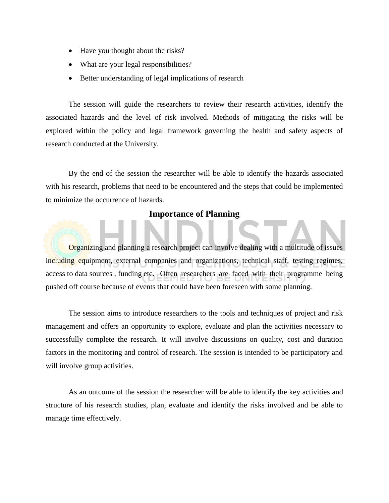- Have you thought about the risks?
- What are your legal responsibilities?
- Better understanding of legal implications of research

The session will guide the researchers to review their research activities, identify the associated hazards and the level of risk involved. Methods of mitigating the risks will be explored within the policy and legal framework governing the health and safety aspects of research conducted at the University.

By the end of the session the researcher will be able to identify the hazards associated with his research, problems that need to be encountered and the steps that could be implemented to minimize the occurrence of hazards.

#### **Importance of Planning**

Organizing and planning a research project can involve dealing with a multitude of issues including equipment, external companies and organizations, technical staff, testing regimes, access to data sources , funding etc. Often researchers are faced with their programme being pushed off course because of events that could have been foreseen with some planning.

The session aims to introduce researchers to the tools and techniques of project and risk management and offers an opportunity to explore, evaluate and plan the activities necessary to successfully complete the research. It will involve discussions on quality, cost and duration factors in the monitoring and control of research. The session is intended to be participatory and will involve group activities.

As an outcome of the session the researcher will be able to identify the key activities and structure of his research studies, plan, evaluate and identify the risks involved and be able to manage time effectively.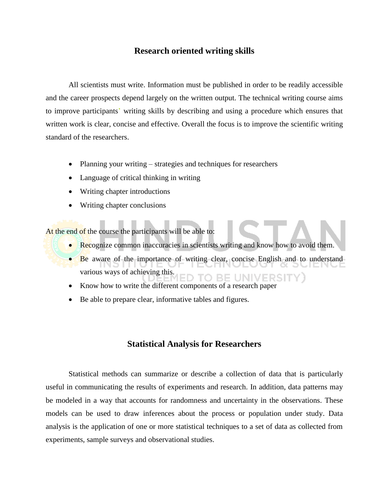#### **Research oriented writing skills**

All scientists must write. Information must be published in order to be readily accessible and the career prospects depend largely on the written output. The technical writing course aims to improve participants' writing skills by describing and using a procedure which ensures that written work is clear, concise and effective. Overall the focus is to improve the scientific writing standard of the researchers.

- Planning your writing strategies and techniques for researchers
- Language of critical thinking in writing
- Writing chapter introductions
- Writing chapter conclusions

At the end of the course the participants will be able to:

- Recognize common inaccuracies in scientists writing and know how to avoid them.
- Be aware of the importance of writing clear, concise English and to understand various ways of achieving this.
- Know how to write the different components of a research paper
- Be able to prepare clear, informative tables and figures.

#### **Statistical Analysis for Researchers**

Statistical methods can summarize or describe a collection of data that is particularly useful in communicating the results of experiments and research. In addition, data patterns may be modeled in a way that accounts for randomness and uncertainty in the observations. These models can be used to draw inferences about the process or population under study. Data analysis is the application of one or more statistical techniques to a set of data as collected from experiments, sample surveys and observational studies.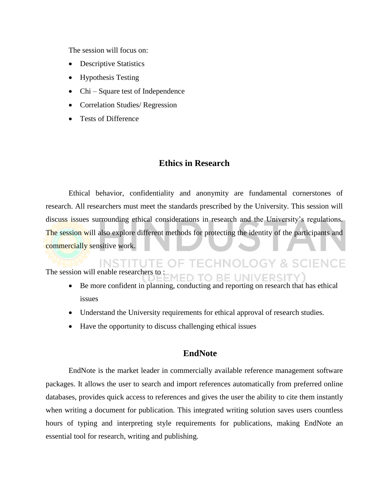The session will focus on:

- Descriptive Statistics
- Hypothesis Testing
- Chi Square test of Independence
- Correlation Studies/ Regression
- Tests of Difference

#### **Ethics in Research**

Ethical behavior, confidentiality and anonymity are fundamental cornerstones of research. All researchers must meet the standards prescribed by the University. This session will discuss issues surrounding ethical considerations in research and the University's regulations. The session will also explore different methods for protecting the identity of the participants and commercially sensitive work.

**TECHNOLOGY & SCIENCE** INSTITUTE. The session will enable researchers to : ED TO BE UNIVERSITY

- Be more confident in planning, conducting and reporting on research that has ethical issues
- Understand the University requirements for ethical approval of research studies.
- Have the opportunity to discuss challenging ethical issues

#### **EndNote**

EndNote is the market leader in commercially available reference management software packages. It allows the user to search and import references automatically from preferred online databases, provides quick access to references and gives the user the ability to cite them instantly when writing a document for publication. This integrated writing solution saves users countless hours of typing and interpreting style requirements for publications, making EndNote an essential tool for research, writing and publishing.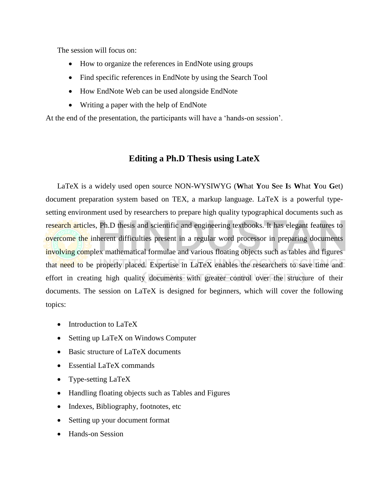The session will focus on:

- How to organize the references in EndNote using groups
- Find specific references in EndNote by using the Search Tool
- How EndNote Web can be used alongside EndNote
- Writing a paper with the help of EndNote

At the end of the presentation, the participants will have a 'hands-on session'.

## **Editing a Ph.D Thesis using LateX**

LaTeX is a widely used open source NON-WYSIWYG (**W**hat **Y**ou **S**ee **I**s **W**hat **Y**ou **G**et) document preparation system based on TEX, a markup language. LaTeX is a powerful typesetting environment used by researchers to prepare high quality typographical documents such as research articles, Ph.D thesis and scientific and engineering textbooks. It has elegant features to overcome the inherent difficulties present in a regular word processor in preparing documents involving complex mathematical formulae and various floating objects such as tables and figures that need to be properly placed. Expertise in LaTeX enables the researchers to save time and effort in creating high quality documents with greater control over the structure of their documents. The session on LaTeX is designed for beginners, which will cover the following topics:

- Introduction to LaTeX
- Setting up LaTeX on Windows Computer
- Basic structure of LaTeX documents
- Essential LaTeX commands
- Type-setting LaTeX
- Handling floating objects such as Tables and Figures
- Indexes, Bibliography, footnotes, etc
- Setting up your document format
- Hands-on Session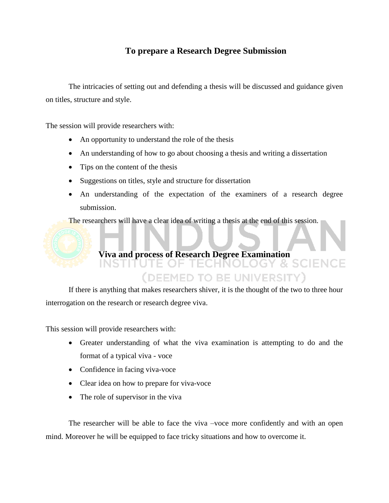## **To prepare a Research Degree Submission**

The intricacies of setting out and defending a thesis will be discussed and guidance given on titles, structure and style.

The session will provide researchers with:

- An opportunity to understand the role of the thesis
- An understanding of how to go about choosing a thesis and writing a dissertation
- Tips on the content of the thesis
- Suggestions on titles, style and structure for dissertation
- An understanding of the expectation of the examiners of a research degree submission.

The researchers will have a clear idea of writing a thesis at the end of this session.

#### **Viva and process of Research Degree Examination** INS

## (DEEMED TO BE UNIVERSITY)

If there is anything that makes researchers shiver, it is the thought of the two to three hour interrogation on the research or research degree viva.

This session will provide researchers with:

- Greater understanding of what the viva examination is attempting to do and the format of a typical viva - voce
- Confidence in facing viva-voce
- Clear idea on how to prepare for viva-voce
- The role of supervisor in the viva

The researcher will be able to face the viva –voce more confidently and with an open mind. Moreover he will be equipped to face tricky situations and how to overcome it.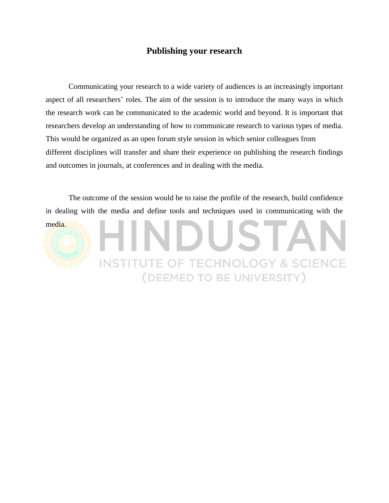### **Publishing your research**

Communicating your research to a wide variety of audiences is an increasingly important aspect of all researchers' roles. The aim of the session is to introduce the many ways in which the research work can be communicated to the academic world and beyond. It is important that researchers develop an understanding of how to communicate research to various types of media. This would be organized as an open forum style session in which senior colleagues from different disciplines will transfer and share their experience on publishing the research findings and outcomes in journals, at conferences and in dealing with the media.

The outcome of the session would be to raise the profile of the research, build confidence in dealing with the media and define tools and techniques used in communicating with the media.

**INSTITUTE OF TECHNOLOGY & SCIENCE** 

(DEEMED TO BE UNIVERSITY)

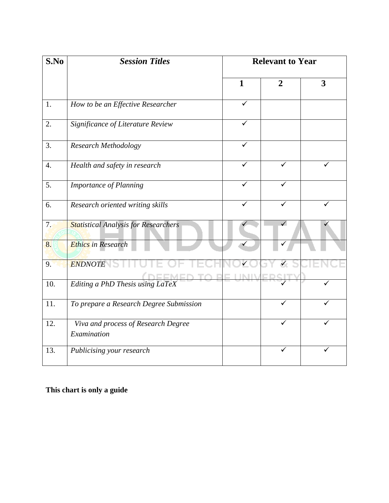| S.No             | <b>Session Titles</b>                              | <b>Relevant to Year</b> |                |                         |
|------------------|----------------------------------------------------|-------------------------|----------------|-------------------------|
|                  |                                                    | $\mathbf{1}$            | $\overline{2}$ | $\overline{\mathbf{3}}$ |
| 1.               | How to be an Effective Researcher                  | ✓                       |                |                         |
| 2.               | Significance of Literature Review                  | $\checkmark$            |                |                         |
| 3.               | Research Methodology                               | ✓                       |                |                         |
| $\overline{4}$ . | Health and safety in research                      | ✓                       | ✓              | ✓                       |
| 5.               | <b>Importance of Planning</b>                      |                         |                |                         |
| 6.               | Research oriented writing skills                   | ✓                       |                |                         |
| 7.               | <b>Statistical Analysis for Researchers</b>        |                         | $\checkmark$   |                         |
| 8.               | <b>Ethics</b> in Research                          |                         |                |                         |
| 9.               | <b>ENDNOTE</b>                                     |                         |                |                         |
| 10.              | Editing a PhD Thesis using LaTeX                   |                         |                |                         |
| 11.              | To prepare a Research Degree Submission            |                         | ✓              |                         |
| 12.              | Viva and process of Research Degree<br>Examination |                         | ✓              |                         |
| 13.              | Publicising your research                          |                         |                |                         |

**This chart is only a guide**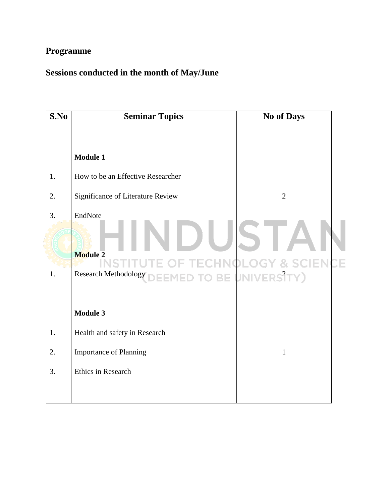## **Programme**

## **Sessions conducted in the month of May/June**

| S.No     | <b>Seminar Topics</b>                                                                                                                                   | <b>No of Days</b> |
|----------|---------------------------------------------------------------------------------------------------------------------------------------------------------|-------------------|
|          | <b>Module 1</b>                                                                                                                                         |                   |
| 1.       | How to be an Effective Researcher                                                                                                                       |                   |
| 2.       | Significance of Literature Review                                                                                                                       | $\overline{2}$    |
| 3.<br>1. | EndNote<br>$\Box$<br><b>Module 2</b><br><b>EXAMPLISTITUTE OF TECHNOLOGY &amp; SCIENCI</b><br>Research Methodology DEEMED TO BE UNIVERS <sup>2</sup> TY) |                   |
|          | <b>Module 3</b>                                                                                                                                         |                   |
| 1.       | Health and safety in Research                                                                                                                           |                   |
| 2.       | <b>Importance of Planning</b>                                                                                                                           | $\mathbf{1}$      |
| 3.       | Ethics in Research                                                                                                                                      |                   |